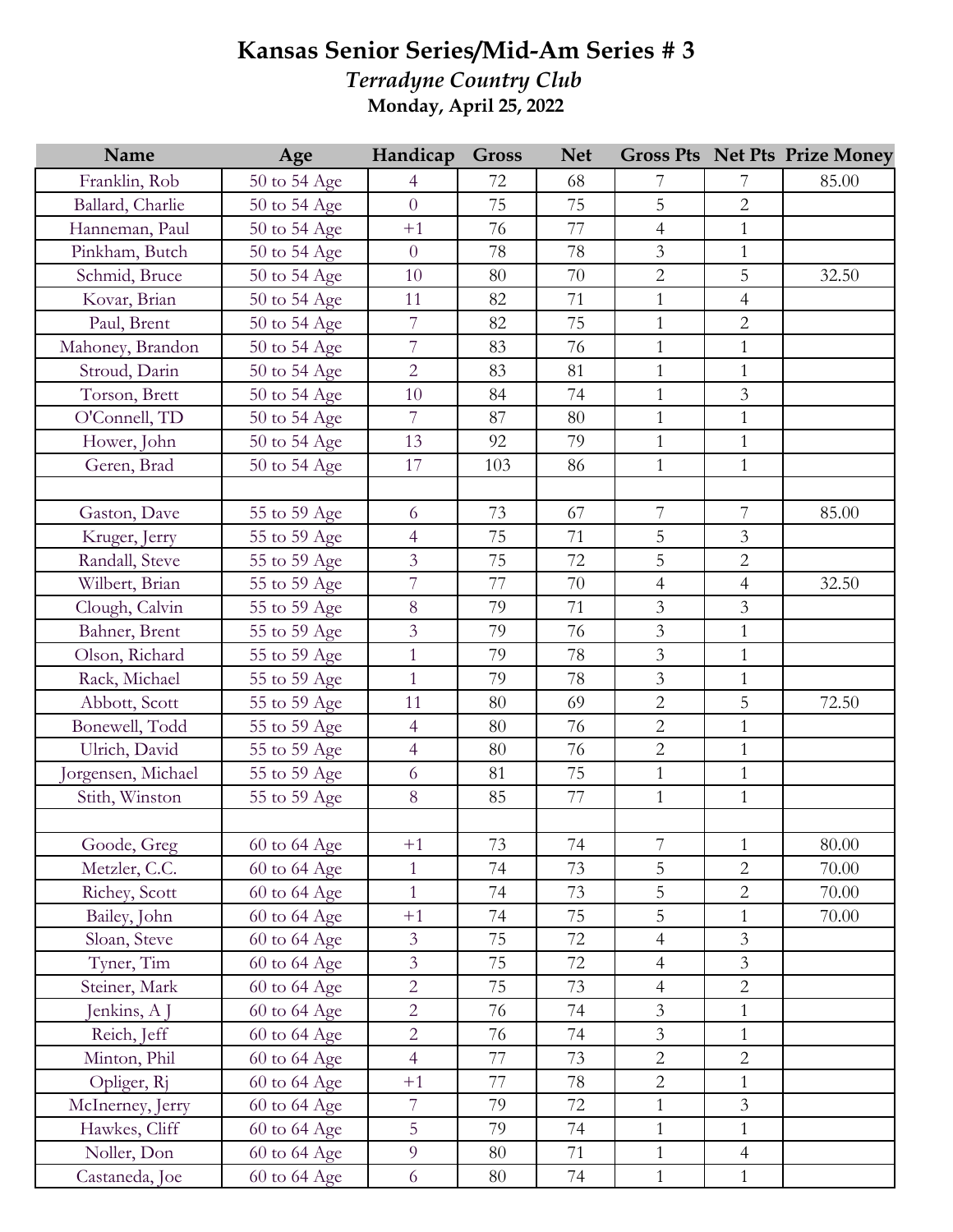## **Kansas Senior Series/Mid-Am Series # 3**

*Terradyne Country Club* **Monday, April 25, 2022**

| Name              | Age          | Handicap       | <b>Gross</b> | <b>Net</b> |                  |                | <b>Gross Pts Net Pts Prize Money</b> |
|-------------------|--------------|----------------|--------------|------------|------------------|----------------|--------------------------------------|
| Franklin, Rob     | 50 to 54 Age | 4              | 72           | 68         | 7                | 7              | 85.00                                |
| Ballard, Charlie  | 50 to 54 Age | $\overline{0}$ | 75           | 75         | $\overline{5}$   | $\overline{2}$ |                                      |
| Hanneman, Paul    | 50 to 54 Age | $+1$           | 76           | 77         | $\overline{4}$   | $\mathbf{1}$   |                                      |
| Pinkham, Butch    | 50 to 54 Age | $\overline{0}$ | 78           | 78         | $\overline{3}$   | $\mathbf{1}$   |                                      |
| Schmid, Bruce     | 50 to 54 Age | 10             | 80           | 70         | $\overline{2}$   | 5              | 32.50                                |
| Kovar, Brian      | 50 to 54 Age | 11             | 82           | 71         | $\mathbf{1}$     | $\overline{4}$ |                                      |
| Paul, Brent       | 50 to 54 Age | $\overline{7}$ | 82           | 75         | $\mathbf{1}$     | $\sqrt{2}$     |                                      |
| Mahoney, Brandon  | 50 to 54 Age | $\overline{7}$ | 83           | 76         | $\mathbf{1}$     | $\mathbf{1}$   |                                      |
| Stroud, Darin     | 50 to 54 Age | $\overline{2}$ | 83           | 81         | $\mathbf{1}$     | $\,1\,$        |                                      |
| Torson, Brett     | 50 to 54 Age | 10             | 84           | 74         | $\mathbf{1}$     | $\mathfrak{Z}$ |                                      |
| O'Connell, TD     | 50 to 54 Age | $\overline{7}$ | 87           | 80         | $\mathbf{1}$     | $\mathbf{1}$   |                                      |
| Hower, John       | 50 to 54 Age | 13             | 92           | 79         | $\mathbf{1}$     | $\mathbf{1}$   |                                      |
| Geren, Brad       | 50 to 54 Age | 17             | 103          | 86         | $\mathbf{1}$     | $\mathbf{1}$   |                                      |
|                   |              |                |              |            |                  |                |                                      |
| Gaston, Dave      | 55 to 59 Age | 6              | 73           | 67         | $\overline{7}$   | 7              | 85.00                                |
| Kruger, Jerry     | 55 to 59 Age | $\overline{4}$ | 75           | 71         | 5                | $\mathfrak{Z}$ |                                      |
| Randall, Steve    | 55 to 59 Age | $\overline{3}$ | 75           | 72         | 5                | $\overline{2}$ |                                      |
| Wilbert, Brian    | 55 to 59 Age | $\overline{7}$ | 77           | 70         | $\overline{4}$   | $\overline{4}$ | 32.50                                |
| Clough, Calvin    | 55 to 59 Age | 8              | 79           | 71         | $\mathfrak{Z}$   | $\mathfrak{Z}$ |                                      |
| Bahner, Brent     | 55 to 59 Age | $\overline{3}$ | 79           | 76         | $\mathfrak{Z}$   | $\mathbf{1}$   |                                      |
| Olson, Richard    | 55 to 59 Age | $\mathbf{1}$   | 79           | 78         | $\mathfrak{Z}$   | $\mathbf{1}$   |                                      |
| Rack, Michael     | 55 to 59 Age | $\mathbf{1}$   | 79           | 78         | $\overline{3}$   | $\mathbf{1}$   |                                      |
| Abbott, Scott     | 55 to 59 Age | 11             | 80           | 69         | $\overline{2}$   | 5              | 72.50                                |
| Bonewell, Todd    | 55 to 59 Age | $\overline{4}$ | 80           | 76         | $\overline{2}$   | $\,1\,$        |                                      |
| Ulrich, David     | 55 to 59 Age | $\overline{4}$ | 80           | 76         | $\overline{2}$   | $\mathbf{1}$   |                                      |
| orgensen, Michael | 55 to 59 Age | 6              | 81           | 75         | $\mathbf{1}$     | $\mathbf{1}$   |                                      |
| Stith, Winston    | 55 to 59 Age | 8              | 85           | 77         | $\mathbf{1}$     | $\mathbf{1}$   |                                      |
|                   |              |                |              |            |                  |                |                                      |
| Goode, Greg       | 60 to 64 Age | $+1$           | 73           | 74         | $\boldsymbol{7}$ | $\mathbf{1}$   | 80.00                                |
| Metzler, C.C.     | 60 to 64 Age | $\mathbf{1}$   | 74           | 73         | 5                | $\overline{2}$ | 70.00                                |
| Richey, Scott     | 60 to 64 Age | $\mathbf{1}$   | 74           | 73         | 5                | $\overline{2}$ | 70.00                                |
| Bailey, John      | 60 to 64 Age | $+1$           | 74           | 75         | 5                | 1              | 70.00                                |
| Sloan, Steve      | 60 to 64 Age | $\overline{3}$ | 75           | 72         | $\overline{4}$   | $\mathfrak{Z}$ |                                      |
| Tyner, Tim        | 60 to 64 Age | $\overline{3}$ | 75           | 72         | $\overline{4}$   | $\mathfrak{Z}$ |                                      |
| Steiner, Mark     | 60 to 64 Age | $\overline{2}$ | 75           | 73         | $\overline{4}$   | $\mathbf 2$    |                                      |
| Jenkins, A J      | 60 to 64 Age | $\overline{2}$ | 76           | 74         | $\mathfrak{Z}$   | $\mathbf{1}$   |                                      |
| Reich, Jeff       | 60 to 64 Age | $\overline{2}$ | 76           | 74         | $\mathfrak{Z}$   | $\mathbf{1}$   |                                      |
| Minton, Phil      | 60 to 64 Age | $\overline{4}$ | 77           | 73         | $\overline{2}$   | $\overline{2}$ |                                      |
| Opliger, Rj       | 60 to 64 Age | $+1$           | 77           | 78         | $\overline{2}$   | $\mathbf{1}$   |                                      |
| McInerney, Jerry  | 60 to 64 Age | $\overline{7}$ | 79           | 72         | $\mathbf{1}$     | $\mathfrak{Z}$ |                                      |
| Hawkes, Cliff     | 60 to 64 Age | 5              | 79           | 74         | $\mathbf{1}$     | $\mathbf{1}$   |                                      |
| Noller, Don       | 60 to 64 Age | 9              | 80           | 71         | $\mathbf{1}$     | $\overline{4}$ |                                      |
| Castaneda, Joe    | 60 to 64 Age | 6              | 80           | 74         | $\mathbf{1}$     | $\mathbf{1}$   |                                      |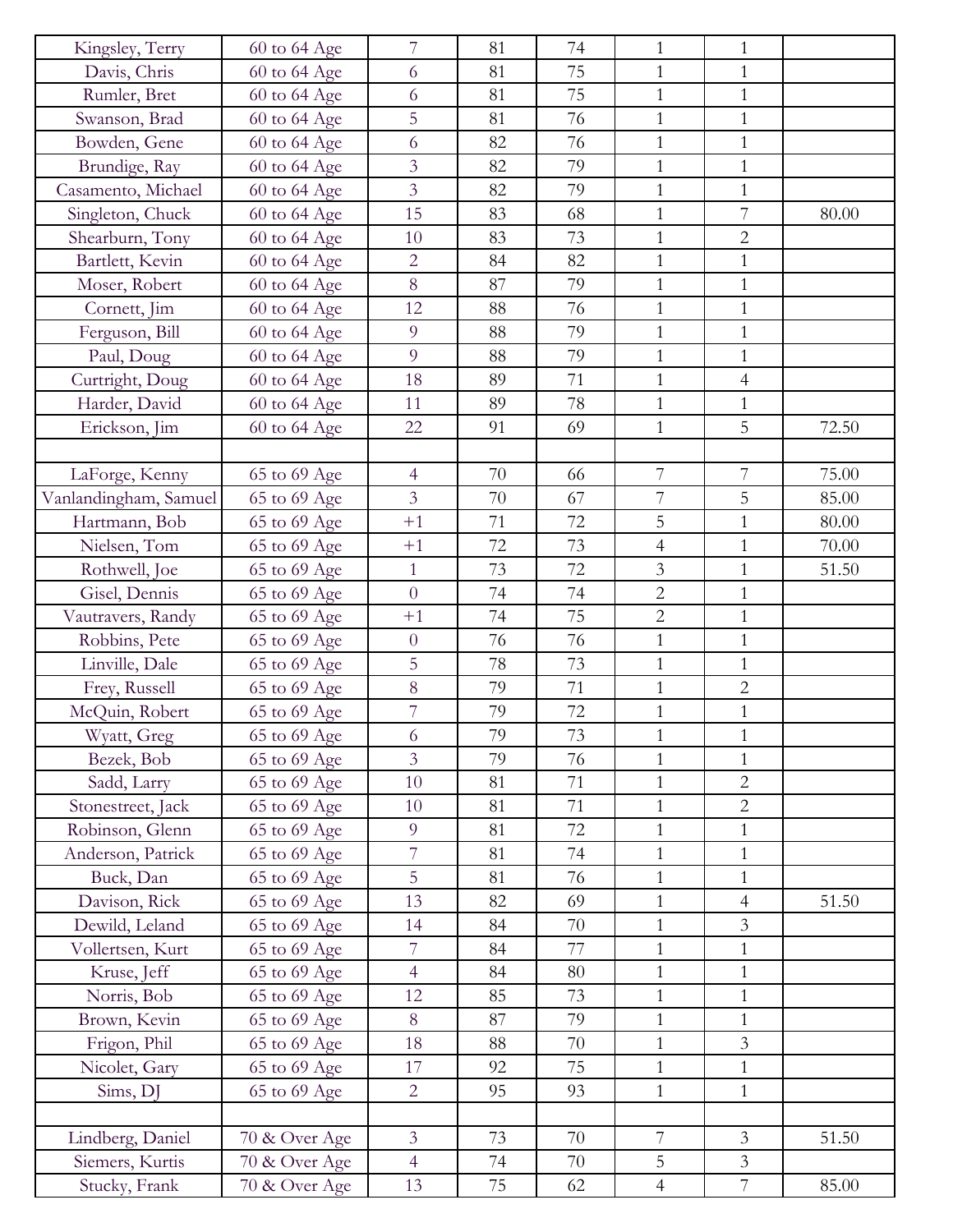| Kingsley, Terry       | 60 to 64 Age  | 7              | 81 | 74     | $\mathbf{1}$     | $\mathbf{1}$   |       |
|-----------------------|---------------|----------------|----|--------|------------------|----------------|-------|
| Davis, Chris          | 60 to 64 Age  | 6              | 81 | 75     | $\mathbf{1}$     | $\mathbf{1}$   |       |
| Rumler, Bret          | 60 to 64 Age  | 6              | 81 | 75     | $\mathbf{1}$     | $\mathbf{1}$   |       |
| Swanson, Brad         | 60 to 64 Age  | 5              | 81 | 76     | $\mathbf{1}$     | $\mathbf{1}$   |       |
| Bowden, Gene          | 60 to 64 Age  | 6              | 82 | 76     | $\mathbf{1}$     | $\mathbf{1}$   |       |
| Brundige, Ray         | 60 to 64 Age  | 3              | 82 | 79     | $\mathbf{1}$     | $\mathbf{1}$   |       |
| Casamento, Michael    | 60 to 64 Age  | 3              | 82 | 79     | $\mathbf{1}$     | $\mathbf{1}$   |       |
| Singleton, Chuck      | 60 to 64 Age  | 15             | 83 | 68     | $\mathbf{1}$     | $\overline{7}$ | 80.00 |
| Shearburn, Tony       | 60 to 64 Age  | 10             | 83 | 73     | $\mathbf{1}$     | $\overline{2}$ |       |
| Bartlett, Kevin       | 60 to 64 Age  | $\overline{2}$ | 84 | 82     | $\mathbf{1}$     | $\mathbf{1}$   |       |
| Moser, Robert         | 60 to 64 Age  | 8              | 87 | 79     | $\mathbf{1}$     | $\mathbf{1}$   |       |
| Cornett, Jim          | 60 to 64 Age  | 12             | 88 | 76     | $\mathbf{1}$     | $\mathbf{1}$   |       |
| Ferguson, Bill        | 60 to 64 Age  | 9              | 88 | 79     | $\mathbf{1}$     | $\mathbf{1}$   |       |
| Paul, Doug            | 60 to 64 Age  | 9              | 88 | 79     | $\mathbf{1}$     | $\mathbf{1}$   |       |
| Curtright, Doug       | 60 to 64 Age  | 18             | 89 | 71     | $\mathbf{1}$     | $\overline{4}$ |       |
| Harder, David         | 60 to 64 Age  | 11             | 89 | 78     | $\mathbf{1}$     | $\mathbf{1}$   |       |
| Erickson, Jim         | 60 to 64 Age  | 22             | 91 | 69     | $\mathbf{1}$     | 5              | 72.50 |
|                       |               |                |    |        |                  |                |       |
| LaForge, Kenny        | 65 to 69 Age  | $\overline{4}$ | 70 | 66     | 7                | $\overline{7}$ | 75.00 |
| Vanlandingham, Samuel | 65 to 69 Age  | 3              | 70 | 67     | $\boldsymbol{7}$ | 5              | 85.00 |
| Hartmann, Bob         | 65 to 69 Age  | $+1$           | 71 | 72     | 5                | $\mathbf{1}$   | 80.00 |
| Nielsen, Tom          | 65 to 69 Age  | $+1$           | 72 | 73     | $\overline{4}$   | $\mathbf{1}$   | 70.00 |
| Rothwell, Joe         | 65 to 69 Age  | $\mathbf{1}$   | 73 | 72     | $\mathfrak{Z}$   | $\mathbf{1}$   | 51.50 |
| Gisel, Dennis         | 65 to 69 Age  | $\overline{0}$ | 74 | 74     | $\overline{2}$   | $\mathbf{1}$   |       |
| Vautravers, Randy     | 65 to 69 Age  | $+1$           | 74 | 75     | $\overline{2}$   | $\mathbf{1}$   |       |
| Robbins, Pete         | 65 to 69 Age  | $\overline{0}$ | 76 | 76     | $\mathbf{1}$     | $\mathbf{1}$   |       |
| Linville, Dale        | 65 to 69 Age  | 5              | 78 | 73     | $\mathbf{1}$     | $\mathbf{1}$   |       |
| Frey, Russell         | 65 to 69 Age  | 8              | 79 | 71     | $\mathbf{1}$     | $\overline{2}$ |       |
| McQuin, Robert        | 65 to 69 Age  | 7              | 79 | $72\,$ | $\mathbf{1}$     | $\mathbf{1}$   |       |
| Wyatt, Greg           | 65 to 69 Age  | 6              | 79 | 73     | $\mathbf{1}$     | 1              |       |
| Bezek, Bob            | 65 to 69 Age  | $\overline{3}$ | 79 | 76     | $\mathbf{1}$     | $\mathbf{1}$   |       |
| Sadd, Larry           | 65 to 69 Age  | 10             | 81 | 71     | $\mathbf{1}$     | $\overline{2}$ |       |
| Stonestreet, Jack     | 65 to 69 Age  | 10             | 81 | 71     | $\mathbf{1}$     | $\sqrt{2}$     |       |
| Robinson, Glenn       | 65 to 69 Age  | 9              | 81 | 72     | $\mathbf{1}$     | $\mathbf{1}$   |       |
| Anderson, Patrick     | 65 to 69 Age  | 7              | 81 | 74     | $\mathbf{1}$     | $\mathbf{1}$   |       |
| Buck, Dan             | 65 to 69 Age  | 5              | 81 | 76     | $\mathbf{1}$     | $\mathbf{1}$   |       |
| Davison, Rick         | 65 to 69 Age  | 13             | 82 | 69     | $\mathbf{1}$     | $\overline{4}$ | 51.50 |
| Dewild, Leland        | 65 to 69 Age  | 14             | 84 | 70     | $\mathbf{1}$     | $\overline{3}$ |       |
| Vollertsen, Kurt      | 65 to 69 Age  | 7              | 84 | 77     | $\mathbf{1}$     | 1              |       |
| Kruse, Jeff           | 65 to 69 Age  | $\overline{4}$ | 84 | 80     | $\mathbf{1}$     | $\mathbf{1}$   |       |
| Norris, Bob           | 65 to 69 Age  | 12             | 85 | 73     | $\mathbf{1}$     | $\mathbf{1}$   |       |
| Brown, Kevin          | 65 to 69 Age  | 8              | 87 | 79     | $\mathbf{1}$     | $\mathbf{1}$   |       |
| Frigon, Phil          | 65 to 69 Age  | 18             | 88 | 70     | $\mathbf{1}$     | $\mathfrak{Z}$ |       |
| Nicolet, Gary         | 65 to 69 Age  | 17             | 92 | 75     | $\mathbf{1}$     | $\mathbf{1}$   |       |
| Sims, DJ              | 65 to 69 Age  | $\overline{2}$ | 95 | 93     | $\mathbf{1}$     | $\mathbf{1}$   |       |
|                       |               |                |    |        |                  |                |       |
| Lindberg, Daniel      | 70 & Over Age | $\overline{3}$ | 73 | 70     | $\overline{7}$   | $\mathfrak{Z}$ | 51.50 |
| Siemers, Kurtis       | 70 & Over Age | $\overline{4}$ | 74 | 70     | 5                | $\mathfrak{Z}$ |       |
| Stucky, Frank         | 70 & Over Age | 13             | 75 | 62     | $\overline{4}$   | $\overline{7}$ | 85.00 |